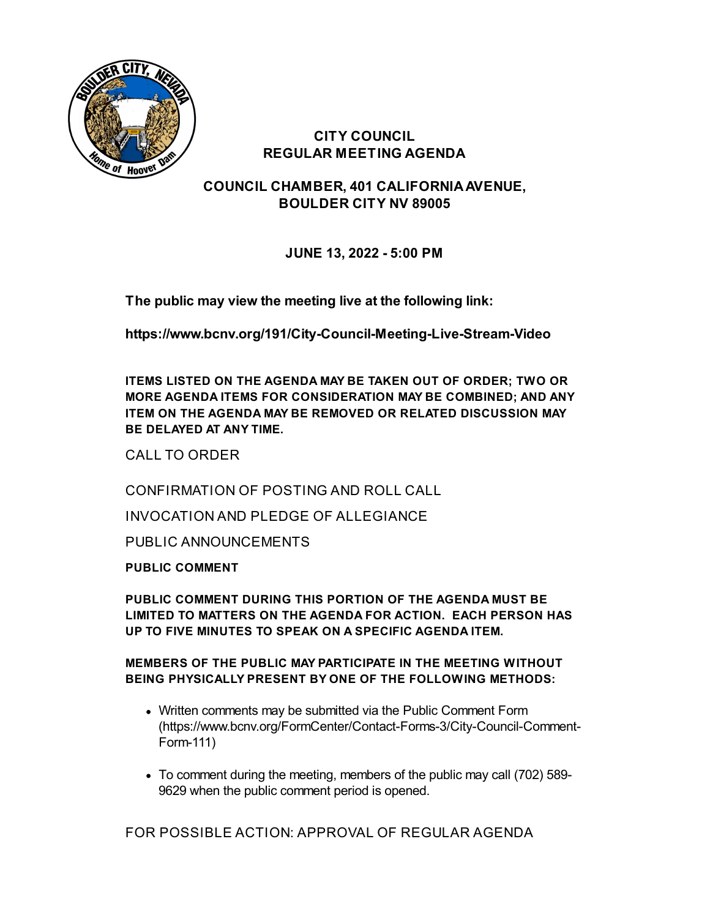

# **CITY COUNCIL REGULAR MEETING AGENDA**

**COUNCIL CHAMBER, 401 CALIFORNIAAVENUE, BOULDER CITY NV 89005**

**JUNE 13, 2022 - 5:00 PM**

**The public may view the meeting live at the following link:**

**<https://www.bcnv.org/191/City-Council-Meeting-Live-Stream-Video>**

**ITEMS LISTED ON THE AGENDA MAY BE TAKEN OUT OF ORDER; TWO OR MORE AGENDA ITEMS FOR CONSIDERATION MAY BE COMBINED; AND ANY ITEM ON THE AGENDA MAY BE REMOVED OR RELATED DISCUSSION MAY BE DELAYED AT ANY TIME.**

CALL TO ORDER

CONFIRMATION OF POSTING AND ROLL CALL

INVOCATION AND PLEDGE OF ALLEGIANCE

PUBLIC ANNOUNCEMENTS

**PUBLIC COMMENT**

**PUBLIC COMMENT DURING THIS PORTION OF THE AGENDA MUST BE LIMITED TO MATTERS ON THE AGENDA FOR ACTION. EACH PERSON HAS UP TO FIVE MINUTES TO SPEAK ON A SPECIFIC AGENDA ITEM.**

**MEMBERS OF THE PUBLIC MAY PARTICIPATE IN THE MEETING WITHOUT BEING PHYSICALLY PRESENT BY ONE OF THE FOLLOWING METHODS:**

- Written comments may be submitted via the Public Comment Form [\(https://www.bcnv.org/FormCenter/Contact-Forms-3/City-Council-Comment-](https://www.bcnv.org/FormCenter/Contact-Forms-3/City-Council-Comment-Form-111)Form-111)
- To comment during the meeting, members of the public may call (702) 589- 9629 when the public comment period is opened.

FOR POSSIBLE ACTION: APPROVAL OF REGULAR AGENDA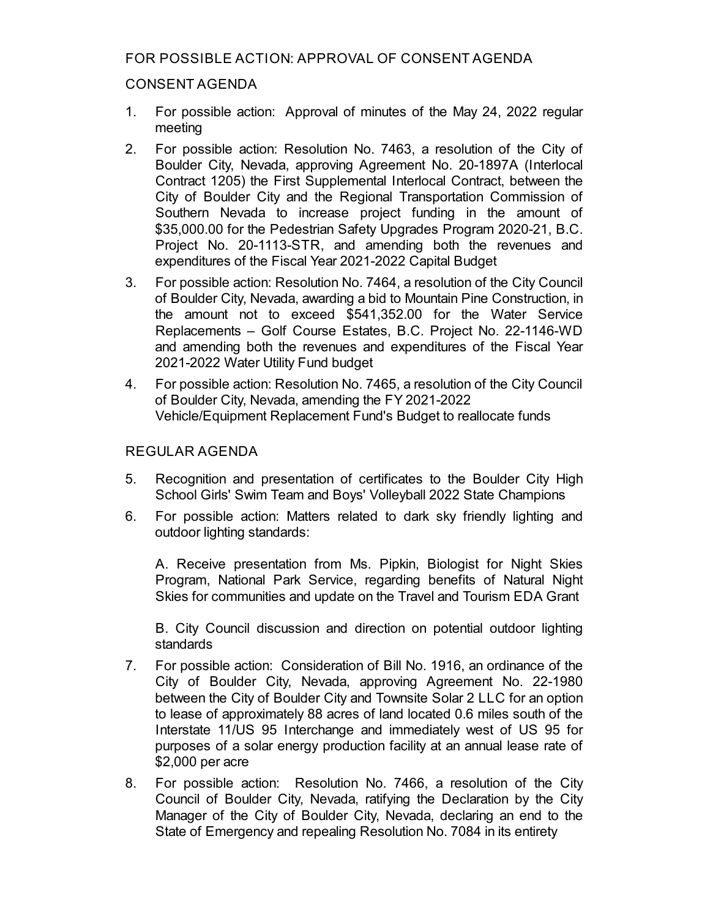## FOR POSSIBLE ACTION: APPROVAL OF CONSENT AGENDA

### CONSENT AGENDA

- 1. For possible action: [Approval](file:///C:/Windows/TEMP/CoverSheet.aspx?ItemID=4956&MeetingID=688) of minutes of the May 24, 2022 regular meeting
- 2. For possible action: Resolution No. 7463, a resolution of the City of Boulder City, Nevada, approving Agreement No. 20-1897A (Interlocal Contract 1205) the First Supplemental Interlocal Contract, between the City of Boulder City and the Regional Transportation Commission of Southern Nevada to increase project funding in the amount of \$35,000.00 for the Pedestrian Safety Upgrades Program 2020-21, B.C. Project No. [20-1113-STR,](file:///C:/Windows/TEMP/CoverSheet.aspx?ItemID=5138&MeetingID=688) and amending both the revenues and expenditures of the Fiscal Year 2021-2022 Capital Budget
- 3. For possible action: Resolution No. 7464, a resolution of the City Council of Boulder City, Nevada, awarding a bid to Mountain Pine Construction, in the amount not to exceed \$541,352.00 for the Water Service [Replacements](file:///C:/Windows/TEMP/CoverSheet.aspx?ItemID=5139&MeetingID=688) – Golf Course Estates, B.C. Project No. 22-1146-WD and amending both the revenues and expenditures of the Fiscal Year 2021-2022 Water Utility Fund budget
- 4. For possible action: Resolution No. 7465, a resolution of the City Council of Boulder City, Nevada, amending the FY 2021-2022 Vehicle/Equipment Replacement Fund's Budget to reallocate funds

## REGULAR AGENDA

- 5. Recognition and [presentation](file:///C:/Windows/TEMP/CoverSheet.aspx?ItemID=5155&MeetingID=688) of certificates to the Boulder City High School Girls' Swim Team and Boys' Volleyball 2022 State Champions
- 6. For possible action: Matters related to dark sky friendly lighting and outdoor lighting standards:

A. Receive presentation from Ms. Pipkin, Biologist for Night Skies Program, National Park Service, regarding benefits of Natural Night Skies for communities and update on the Travel and Tourism EDA Grant

B. City Council discussion and direction on potential outdoor lighting standards

- 7. For possible action: [Consideration](file:///C:/Windows/TEMP/CoverSheet.aspx?ItemID=5135&MeetingID=688) of Bill No. 1916, an ordinance of the City of Boulder City, Nevada, approving Agreement No. 22-1980 between the City of Boulder City and Townsite Solar 2 LLC for an option to lease of approximately 88 acres of land located 0.6 miles south of the Interstate 11/US 95 Interchange and immediately west of US 95 for purposes of a solar energy production facility at an annual lease rate of \$2,000 per acre
- 8. For possible action: Resolution No. 7466, a resolution of the City Council of Boulder City, Nevada, ratifying the [Declaration](file:///C:/Windows/TEMP/CoverSheet.aspx?ItemID=5131&MeetingID=688) by the City Manager of the City of Boulder City, Nevada, declaring an end to the State of Emergency and repealing Resolution No. 7084 in its entirety